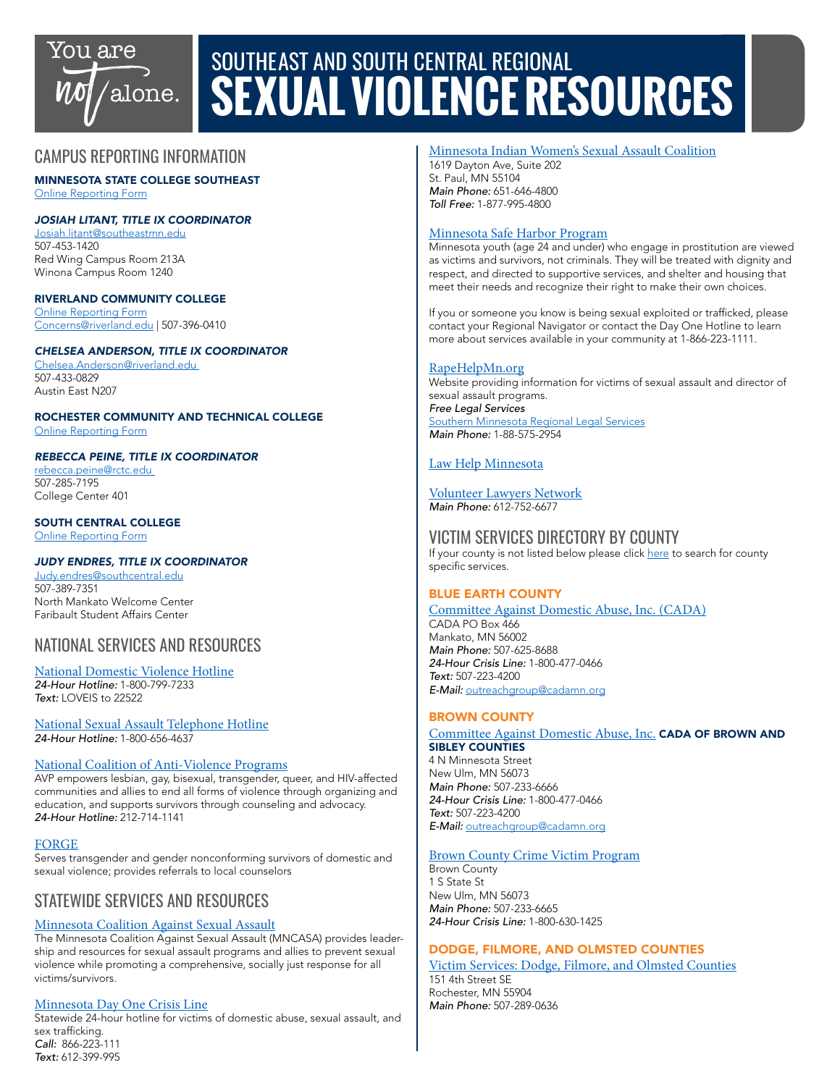

# SOUTHEAST AND SOUTH CENTRAL REGIONAL **SEXUAL VIOLENCE RESOURCES**

# CAMPUS REPORTING INFORMATION

MINNESOTA STATE COLLEGE SOUTHEAST [Online Reporting Form](https://mycampuseye.com/web/EQCS)

## *JOSIAH LITANT, TITLE IX COORDINATOR*

[Josiah.litant@southeastmn.edu](mailto:Josiah.litant@southeastmn.edu) 507-453-1420 Red Wing Campus Room 213A Winona Campus Room 1240

## RIVERLAND COMMUNITY COLLEGE

Online Reporting Form [Concerns@riverland.edu](http://Concerns@riverland.edu) | 507-396-0410

## *CHELSEA ANDERSON, TITLE IX COORDINATOR*

[Chelsea.Anderson@riverland.edu](mailto:Chelsea.Anderson@riverland.edu)  507-433-0829 Austin East N207

ROCHESTER COMMUNITY AND TECHNICAL COLLEGE [Online Reporting Form](https://cm.maxient.com/reportingform.php?RochesterCTC&layout_id=1)

#### *REBECCA PEINE, TITLE IX COORDINATOR*

[rebecca.peine@rctc.edu](mailto:rebecca.peine@rctc.edu)  507-285-7195 College Center 401

# SOUTH CENTRAL COLLEGE

[Online Reporting Form](https://forms.southcentral.edu/view.php?id=333482)

# *JUDY ENDRES, TITLE IX COORDINATOR*

[Judy.endres@southcentral.edu](mailto:Judy.endres@southcentral.edu) 507-389-7351 North Mankato Welcome Center Faribault Student Affairs Center

# NATIONAL SERVICES AND RESOURCES

#### [National Domestic Violence Hotline](https://www.thehotline.org/) *24-Hour Hotline:* 1-800-799-7233 *Text:* LOVEIS to 22522

[National Sexual Assault Telephone Hotline](https://www.rainn.org/about-national-sexual-assault-telephone-hotline) *24-Hour Hotline:* 1-800-656-4637

# [National Coalition of Anti-Violence Programs](https://avp.org/)

AVP empowers lesbian, gay, bisexual, transgender, queer, and HIV-affected communities and allies to end all forms of violence through organizing and education, and supports survivors through counseling and advocacy. *24-Hour Hotline:* 212-714-1141

# [FORGE](http://forge-forward.org/)

Serves transgender and gender nonconforming survivors of domestic and sexual violence; provides referrals to local counselors

# STATEWIDE SERVICES AND RESOURCES

# [Minnesota Coalition Against Sexual Assault](https://www.mncasa.org/)

The Minnesota Coalition Against Sexual Assault (MNCASA) provides leadership and resources for sexual assault programs and allies to prevent sexual violence while promoting a comprehensive, socially just response for all victims/survivors.

# [Minnesota Day One Crisis Line](http://dayoneservices.org/)

Statewide 24-hour hotline for victims of domestic abuse, sexual assault, and sex trafficking. *Call:* 866-223-111 *Text:* 612-399-995

## [Minnesota Indian Women's Sexual Assault Coalition](https://www.miwsac.org/)

1619 Dayton Ave, Suite 202 St. Paul, MN 55104 *Main Phone:* 651-646-4800 *Toll Free:* 1-877-995-4800

## [Minnesota Safe Harbor Program](https://www.health.state.mn.us/communities/safeharbor/)

Minnesota youth (age 24 and under) who engage in prostitution are viewed as victims and survivors, not criminals. They will be treated with dignity and respect, and directed to supportive services, and shelter and housing that meet their needs and recognize their right to make their own choices.

If you or someone you know is being sexual exploited or trafficked, please contact your Regional Navigator or contact the Day One Hotline to learn more about services available in your community at 1-866-223-1111.

## [RapeHelpMn.org](http://rapehelpmn.org/)

Website providing information for victims of sexual assault and director of sexual assault programs. *Free Legal Services* [Southern Minnesota Regional Legal Services](https://www.smrls.org/) *Main Phone:* 1-88-575-2954

# [Law Help Minnesota](https://www.lawhelpmn.org/)

# [Volunteer Lawyers Network](https://www.vlnmn.org/)

*Main Phone:* 612-752-6677

# VICTIM SERVICES DIRECTORY BY COUNTY

If your county is not listed below please click [here](https://nam02.safelinks.protection.outlook.com/?url=https%3A%2F%2Fdps.mn.gov%2Fdivisions%2Fojp%2Fforms-documents%2FDocuments%2FVictim%2520Service%2520Directory%2520-%2520Sorted%2520by%2520County.pdf&data=02%7C01%7Cjenee.mcgurren%40rctc.edu%7C50e685cbcc3840fb7ffc08d845318b4d%7C5011c7c60ab446ab9ef4fae74a921a7f%7C0%7C0%7C637335426371583121&sdata=K20v7CUJ7AlhxEpd%2BLfLagHdQqBfuXvJtG9ClIsq0%2Fs%3D&reserved=0) to search for county specific services.

# BLUE EARTH COUNTY

[Committee Against Domestic Abuse, Inc. \(CADA\)](https://www.cadamn.org/index.php) CADA PO Box 466 Mankato, MN 56002 *Main Phone:* 507-625-8688 *24-Hour Crisis Line:* 1-800-477-0466 *Text:* 507-223-4200 *E-Mail:* [outreachgroup@cadamn.org](mailto:outreachgroup@cadamn.org)

# BROWN COUNTY

#### [Committee Against Domestic Abuse, Inc.](https://www.cadamn.org/index.php) CADA OF BROWN AND SIBLEY COUNTIES

4 N Minnesota Street New Ulm, MN 56073 *Main Phone:* 507-233-6666 *24-Hour Crisis Line:* 1-800-477-0466 *Text:* 507-223-4200 *E-Mail:* [outreachgroup@cadamn.org](mailto:outreachgroup%40cadamn.org?subject=)

#### [Brown County Crime Victim Program](http://www.co.brown.mn.us/victims-of-crime)

Brown County 1 S State St New Ulm, MN 56073 *Main Phone:* 507-233-6665 *24-Hour Crisis Line:* 1-800-630-1425

# DODGE, FILMORE, AND OLMSTED COUNTIES

[Victim Services: Dodge, Filmore, and Olmsted Counties](https://www.co.olmsted.mn.us/cs/dfo/victimservices/Pages/VictimServices.aspx) 151 4th Street SE Rochester, MN 55904 *Main Phone:* 507-289-0636